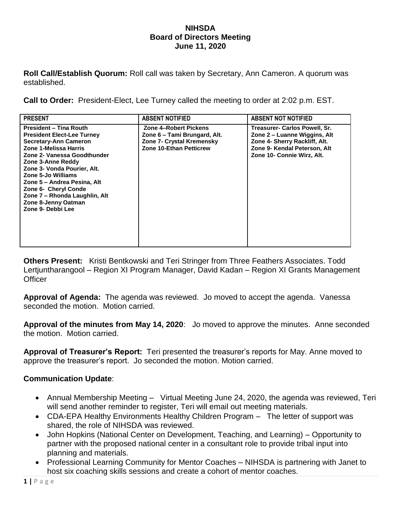## **NIHSDA Board of Directors Meeting June 11, 2020**

**Roll Call/Establish Quorum:** Roll call was taken by Secretary, Ann Cameron. A quorum was established.

**Call to Order:** President-Elect, Lee Turney called the meeting to order at 2:02 p.m. EST.

| <b>PRESENT</b>                                                                                                                                                                                                                                                                                                                                                           | <b>ABSENT NOTIFIED</b>                                                                                               | <b>ABSENT NOT NOTIFIED</b>                                                                                                                                   |
|--------------------------------------------------------------------------------------------------------------------------------------------------------------------------------------------------------------------------------------------------------------------------------------------------------------------------------------------------------------------------|----------------------------------------------------------------------------------------------------------------------|--------------------------------------------------------------------------------------------------------------------------------------------------------------|
| <b>President - Tina Routh</b><br><b>President Elect-Lee Turney</b><br>Secretary-Ann Cameron<br>Zone 1-Melissa Harris<br>Zone 2- Vanessa Goodthunder<br>Zone 3-Anne Reddy<br>Zone 3- Vonda Pourier, Alt.<br>Zone 5-Jo Williams<br>Zone 5 – Andrea Pesina, Alt<br><b>Zone 6- Cheryl Conde</b><br>Zone 7 - Rhonda Laughlin, Alt<br>Zone 8-Jenny Oatman<br>Zone 9- Debbi Lee | Zone 4-Robert Pickens<br>Zone 6 – Tami Brungard, Alt.<br>Zone 7- Crystal Kremensky<br><b>Zone 10-Ethan Petticrew</b> | Treasurer- Carlos Powell, Sr.<br>Zone 2 – Luanne Wiggins, Alt<br>Zone 4- Sherry Rackliff, Alt.<br>Zone 9- Kendal Peterson, Alt<br>Zone 10- Connie Wirz, Alt. |

**Others Present:** Kristi Bentkowski and Teri Stringer from Three Feathers Associates. Todd Lertjuntharangool – Region XI Program Manager, David Kadan – Region XI Grants Management **Officer** 

**Approval of Agenda:** The agenda was reviewed. Jo moved to accept the agenda. Vanessa seconded the motion. Motion carried.

**Approval of the minutes from May 14, 2020**: Jo moved to approve the minutes. Anne seconded the motion. Motion carried.

**Approval of Treasurer's Report:** Teri presented the treasurer's reports for May. Anne moved to approve the treasurer's report. Jo seconded the motion. Motion carried.

## **Communication Update**:

- Annual Membership Meeting Virtual Meeting June 24, 2020, the agenda was reviewed, Teri will send another reminder to register, Teri will email out meeting materials.
- CDA-EPA Healthy Environments Healthy Children Program The letter of support was shared, the role of NIHSDA was reviewed.
- John Hopkins (National Center on Development, Teaching, and Learning) Opportunity to partner with the proposed national center in a consultant role to provide tribal input into planning and materials.
- Professional Learning Community for Mentor Coaches NIHSDA is partnering with Janet to host six coaching skills sessions and create a cohort of mentor coaches.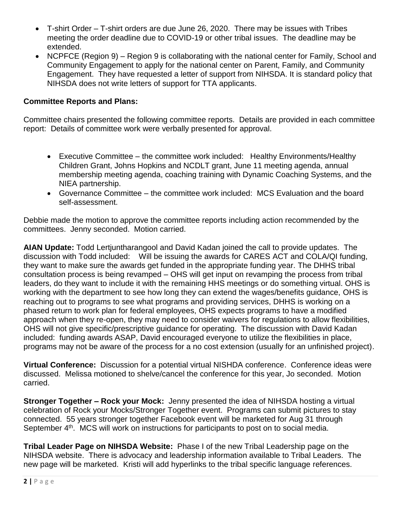- T-shirt Order T-shirt orders are due June 26, 2020. There may be issues with Tribes meeting the order deadline due to COVID-19 or other tribal issues. The deadline may be extended.
- NCPFCE (Region 9) Region 9 is collaborating with the national center for Family, School and Community Engagement to apply for the national center on Parent, Family, and Community Engagement. They have requested a letter of support from NIHSDA. It is standard policy that NIHSDA does not write letters of support for TTA applicants.

## **Committee Reports and Plans:**

Committee chairs presented the following committee reports. Details are provided in each committee report: Details of committee work were verbally presented for approval.

- Executive Committee the committee work included: Healthy Environments/Healthy Children Grant, Johns Hopkins and NCDLT grant, June 11 meeting agenda, annual membership meeting agenda, coaching training with Dynamic Coaching Systems, and the NIEA partnership.
- Governance Committee the committee work included: MCS Evaluation and the board self-assessment.

Debbie made the motion to approve the committee reports including action recommended by the committees. Jenny seconded. Motion carried.

**AIAN Update:** Todd Lertjuntharangool and David Kadan joined the call to provide updates. The discussion with Todd included: Will be issuing the awards for CARES ACT and COLA/QI funding, they want to make sure the awards get funded in the appropriate funding year. The DHHS tribal consultation process is being revamped – OHS will get input on revamping the process from tribal leaders, do they want to include it with the remaining HHS meetings or do something virtual. OHS is working with the department to see how long they can extend the wages/benefits guidance, OHS is reaching out to programs to see what programs and providing services, DHHS is working on a phased return to work plan for federal employees, OHS expects programs to have a modified approach when they re-open, they may need to consider waivers for regulations to allow flexibilities, OHS will not give specific/prescriptive guidance for operating. The discussion with David Kadan included: funding awards ASAP, David encouraged everyone to utilize the flexibilities in place, programs may not be aware of the process for a no cost extension (usually for an unfinished project).

**Virtual Conference:** Discussion for a potential virtual NISHDA conference. Conference ideas were discussed. Melissa motioned to shelve/cancel the conference for this year, Jo seconded. Motion carried.

**Stronger Together – Rock your Mock:** Jenny presented the idea of NIHSDA hosting a virtual celebration of Rock your Mocks/Stronger Together event. Programs can submit pictures to stay connected. 55 years stronger together Facebook event will be marketed for Aug 31 through September 4<sup>th</sup>. MCS will work on instructions for participants to post on to social media.

**Tribal Leader Page on NIHSDA Website:** Phase I of the new Tribal Leadership page on the NIHSDA website. There is advocacy and leadership information available to Tribal Leaders. The new page will be marketed. Kristi will add hyperlinks to the tribal specific language references.